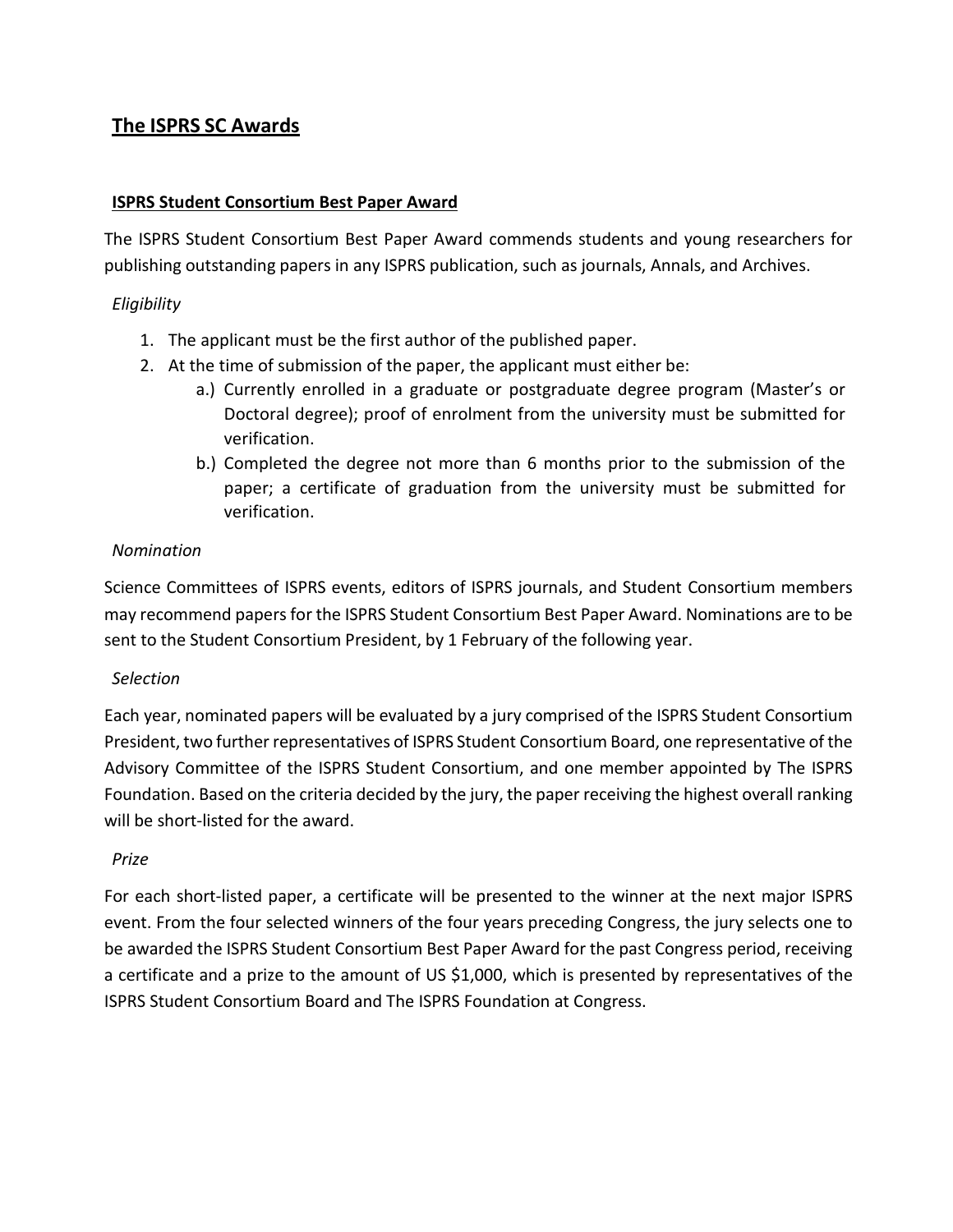# **The ISPRS SC Awards**

#### **ISPRS Student Consortium Best Paper Award**

The ISPRS Student Consortium Best Paper Award commends students and young researchers for publishing outstanding papers in any ISPRS publication, such as journals, Annals, and Archives.

#### *Eligibility*

- 1. The applicant must be the first author of the published paper.
- 2. At the time of submission of the paper, the applicant must either be:
	- a.) Currently enrolled in a graduate or postgraduate degree program (Master's or Doctoral degree); proof of enrolment from the university must be submitted for verification.
	- b.) Completed the degree not more than 6 months prior to the submission of the paper; a certificate of graduation from the university must be submitted for verification.

#### *Nomination*

Science Committees of ISPRS events, editors of ISPRS journals, and Student Consortium members may recommend papers for the ISPRS Student Consortium Best Paper Award. Nominations are to be sent to the Student Consortium President, by 1 February of the following year.

#### *Selection*

Each year, nominated papers will be evaluated by a jury comprised of the ISPRS Student Consortium President, two further representatives of ISPRS Student Consortium Board, one representative of the Advisory Committee of the ISPRS Student Consortium, and one member appointed by The ISPRS Foundation. Based on the criteria decided by the jury, the paper receiving the highest overall ranking will be short-listed for the award.

#### *Prize*

For each short-listed paper, a certificate will be presented to the winner at the next major ISPRS event. From the four selected winners of the four years preceding Congress, the jury selects one to be awarded the ISPRS Student Consortium Best Paper Award for the past Congress period, receiving a certificate and a prize to the amount of US \$1,000, which is presented by representatives of the ISPRS Student Consortium Board and The ISPRS Foundation at Congress.